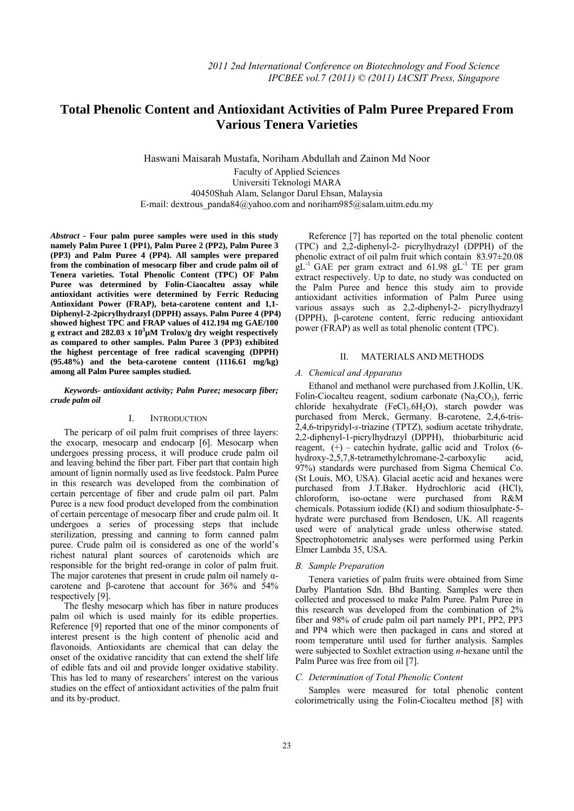# **Total Phenolic Content and Antioxidant Activities of Palm Puree Prepared From**   **Various Tenera Varieties**

Haswani Maisarah Mustafa, Noriham Abdullah and Zainon Md Noor Faculty of Applied Sciences Universiti Teknologi MARA 40450Shah Alam, Selangor Darul Ehsan, Malaysia E-mail: dextrous\_panda84@yahoo.com and noriham985@salam.uitm.edu.my

*Abstract* **- Four palm puree samples were used in this study namely Palm Puree 1 (PP1), Palm Puree 2 (PP2), Palm Puree 3 (PP3) and Palm Puree 4 (PP4). All samples were prepared from the combination of mesocarp fiber and crude palm oil of Tenera varieties. Total Phenolic Content (TPC) OF Palm Puree was determined by Folin-Ciaocalteu assay while antioxidant activities were determined by Ferric Reducing Antioxidant Power (FRAP), beta-carotene content and 1,1- Diphenyl-2-2picrylhydrazyl (DPPH) assays. Palm Puree 4 (PP4) showed highest TPC and FRAP values of 412.194 mg GAE/100 g extract and 282.03 x 10<sup>3</sup> µM Trolox/g dry weight respectively as compared to other samples. Palm Puree 3 (PP3) exhibited the highest percentage of free radical scavenging (DPPH) (95.48%) and the beta-carotene content (1116.61 mg/kg) among all Palm Puree samples studied.** 

# *Keywords- antioxidant activity; Palm Puree; mesocarp fiber; crude palm oil*

# I. INTRODUCTION

The pericarp of oil palm fruit comprises of three layers: the exocarp, mesocarp and endocarp [6]. Mesocarp when undergoes pressing process, it will produce crude palm oil and leaving behind the fiber part. Fiber part that contain high amount of lignin normally used as live feedstock. Palm Puree in this research was developed from the combination of certain percentage of fiber and crude palm oil part. Palm Puree is a new food product developed from the combination of certain percentage of mesocarp fiber and crude palm oil. It undergoes a series of processing steps that include sterilization, pressing and canning to form canned palm puree. Crude palm oil is considered as one of the world's richest natural plant sources of carotenoids which are responsible for the bright red-orange in color of palm fruit. The major carotenes that present in crude palm oil namely  $\alpha$ carotene and β-carotene that account for 36% and 54% respectively [9].

The fleshy mesocarp which has fiber in nature produces palm oil which is used mainly for its edible properties. Reference [9] reported that one of the minor components of interest present is the high content of phenolic acid and flavonoids. Antioxidants are chemical that can delay the onset of the oxidative rancidity that can extend the shelf life of edible fats and oil and provide longer oxidative stability. This has led to many of researchers' interest on the various studies on the effect of antioxidant activities of the palm fruit and its by-product.

Reference [7] has reported on the total phenolic content (TPC) and 2,2-diphenyl-2- picrylhydrazyl (DPPH) of the phenolic extract of oil palm fruit which contain 83.97±20.08  $gL^{-1}$  GAE per gram extract and 61.98  $gL^{-1}$  TE per gram extract respectively. Up to date, no study was conducted on the Palm Puree and hence this study aim to provide antioxidant activities information of Palm Puree using various assays such as 2,2-diphenyl-2- picrylhydrazyl (DPPH), β-carotene content, ferric reducing antioxidant power (FRAP) as well as total phenolic content (TPC).

# II. MATERIALS AND METHODS

# *A. Chemical and Apparatus*

Ethanol and methanol were purchased from J.Kollin, UK. Folin-Ciocalteu reagent, sodium carbonate  $(Na_2CO_3)$ , ferric chloride hexahydrate  $(FeCl<sub>3</sub>.6H<sub>2</sub>O)$ , starch powder was purchased from Merck, Germany. Β-carotene, 2,4,6-tris-2,4,6-tripyridyl-*s*-triazine (TPTZ), sodium acetate trihydrate, 2,2-diphenyl-1-picrylhydrazyl (DPPH), thiobarbituric acid reagent, (+) – catechin hydrate, gallic acid and Trolox (6 hydroxy-2,5,7,8-tetramethylchromane-2-carboxylic acid, 97%) standards were purchased from Sigma Chemical Co. (St Louis, MO, USA). Glacial acetic acid and hexanes were purchased from J.T.Baker. Hydrochloric acid (HCl), chloroform, iso-octane were purchased from R&M chemicals. Potassium iodide (KI) and sodium thiosulphate-5 hydrate were purchased from Bendosen, UK. All reagents used were of analytical grade unless otherwise stated. Spectrophotometric analyses were performed using Perkin Elmer Lambda 35, USA.

# *B. Sample Preparation*

Tenera varieties of palm fruits were obtained from Sime Darby Plantation Sdn. Bhd Banting. Samples were then collected and processed to make Palm Puree. Palm Puree in this research was developed from the combination of 2% fiber and 98% of crude palm oil part namely PP1, PP2, PP3 and PP4 which were then packaged in cans and stored at room temperature until used for further analysis. Samples were subjected to Soxhlet extraction using *n*-hexane until the Palm Puree was free from oil [7].

#### *C. Determination of Total Phenolic Content*

Samples were measured for total phenolic content colorimetrically using the Folin-Ciocalteu method [8] with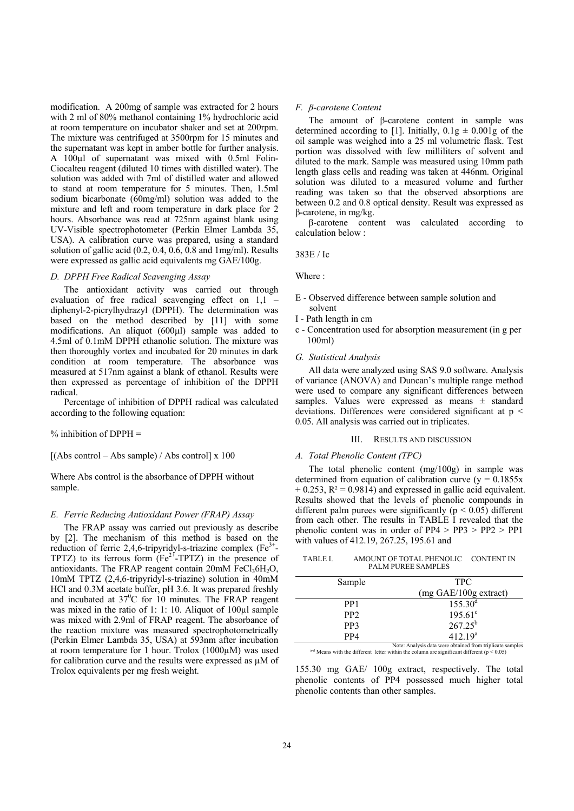modification. A 200mg of sample was extracted for 2 hours with 2 ml of 80% methanol containing 1% hydrochloric acid at room temperature on incubator shaker and set at 200rpm. The mixture was centrifuged at 3500rpm for 15 minutes and the supernatant was kept in amber bottle for further analysis. A 100µl of supernatant was mixed with 0.5ml Folin-Ciocalteu reagent (diluted 10 times with distilled water). The solution was added with 7ml of distilled water and allowed to stand at room temperature for 5 minutes. Then, 1.5ml sodium bicarbonate (60mg/ml) solution was added to the mixture and left and room temperature in dark place for 2 hours. Absorbance was read at 725nm against blank using UV-Visible spectrophotometer (Perkin Elmer Lambda 35, USA). A calibration curve was prepared, using a standard solution of gallic acid (0.2, 0.4, 0.6, 0.8 and 1mg/ml). Results were expressed as gallic acid equivalents mg GAE/100g.

#### *D. DPPH Free Radical Scavenging Assay*

The antioxidant activity was carried out through evaluation of free radical scavenging effect on 1,1 – diphenyl-2-picrylhydrazyl (DPPH). The determination was based on the method described by [11] with some modifications. An aliquot (600µl) sample was added to 4.5ml of 0.1mM DPPH ethanolic solution. The mixture was then thoroughly vortex and incubated for 20 minutes in dark condition at room temperature. The absorbance was measured at 517nm against a blank of ethanol. Results were then expressed as percentage of inhibition of the DPPH radical.

Percentage of inhibition of DPPH radical was calculated according to the following equation:

 $%$  inhibition of DPPH  $=$ 

 $[(Abs control - Abs sample) / Abs control] x 100$ 

Where Abs control is the absorbance of DPPH without sample.

# *E. Ferric Reducing Antioxidant Power (FRAP) Assay*

The FRAP assay was carried out previously as describe by [2]. The mechanism of this method is based on the reduction of ferric 2,4,6-tripyridyl-s-triazine complex  $(Fe^{3+})$ TPTZ) to its ferrous form  $(Fe^{2+}$ -TPTZ) in the presence of antioxidants. The FRAP reagent contain  $20 \text{mM}$  FeCl<sub>3</sub>6H<sub>2</sub>O, 10mM TPTZ (2,4,6-tripyridyl-s-triazine) solution in 40mM HCl and 0.3M acetate buffer, pH 3.6. It was prepared freshly and incubated at  $37^0C$  for 10 minutes. The FRAP reagent was mixed in the ratio of 1: 1: 10. Aliquot of 100µl sample was mixed with 2.9ml of FRAP reagent. The absorbance of the reaction mixture was measured spectrophotometrically (Perkin Elmer Lambda 35, USA) at 593nm after incubation at room temperature for 1 hour. Trolox (1000µM) was used for calibration curve and the results were expressed as µM of Trolox equivalents per mg fresh weight.

# *F. β-carotene Content*

The amount of β-carotene content in sample was determined according to [1]. Initially,  $0.1g \pm 0.001g$  of the oil sample was weighed into a 25 ml volumetric flask. Test portion was dissolved with few milliliters of solvent and diluted to the mark. Sample was measured using 10mm path length glass cells and reading was taken at 446nm. Original solution was diluted to a measured volume and further reading was taken so that the observed absorptions are between 0.2 and 0.8 optical density. Result was expressed as β-carotene, in mg/kg.

β-carotene content was calculated according to calculation below :

#### 383E / Ic

#### Where :

- E Observed difference between sample solution and solvent
- I Path length in cm
- c Concentration used for absorption measurement (in g per 100ml)

# *G. Statistical Analysis*

All data were analyzed using SAS 9.0 software. Analysis of variance (ANOVA) and Duncan's multiple range method were used to compare any significant differences between samples. Values were expressed as means  $\pm$  standard deviations. Differences were considered significant at p < 0.05. All analysis was carried out in triplicates.

#### III. RESULTS AND DISCUSSION

#### *A. Total Phenolic Content (TPC)*

The total phenolic content (mg/100g) in sample was determined from equation of calibration curve ( $y = 0.1855x$  $+ 0.253$ ,  $R<sup>2</sup> = 0.9814$ ) and expressed in gallic acid equivalent. Results showed that the levels of phenolic compounds in different palm purees were significantly ( $p < 0.05$ ) different from each other. The results in TABLE I revealed that the phenolic content was in order of PP4 > PP3 > PP2 > PP1 with values of 412.19, 267.25, 195.61 and

| TABLE I. | AMOUNT OF TOTAL PHENOLIC  | CONTENT IN |
|----------|---------------------------|------------|
|          | <b>PALM PUREE SAMPLES</b> |            |

| Sample          | <b>TPC</b>                                                   |
|-----------------|--------------------------------------------------------------|
|                 | (mg GAE/100g extract)                                        |
| PP <sub>1</sub> | 155.30 <sup>d</sup>                                          |
| PP <sub>2</sub> | $195.61^{\circ}$                                             |
| PP3             | $267.25^{b}$                                                 |
| PP4             | $412.19^{a}$                                                 |
|                 | Matar Amalenia data censa aktoinad finns tiinlinata aannilaa |

Note: Analysis data were obtained from triplicate samples a-d Means with the different letter within the column are significant different ( $p < 0.05$ )

155.30 mg GAE/ 100g extract, respectively. The total phenolic contents of PP4 possessed much higher total phenolic contents than other samples.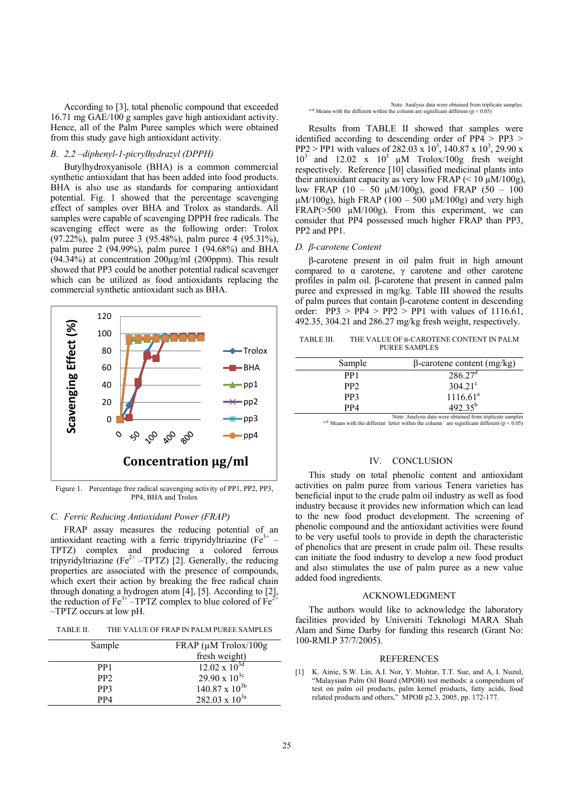According to [3], total phenolic compound that exceeded 16.71 mg GAE/100 g samples gave high antioxidant activity. Hence, all of the Palm Puree samples which were obtained from this study gave high antioxidant activity.

# *B. 2,2 –diphenyl-1-picrylhydrazyl (DPPH)*

Butylhydroxyanisole (BHA) is a common commercial synthetic antioxidant that has been added into food products. BHA is also use as standards for comparing antioxidant potential. Fig. 1 showed that the percentage scavenging effect of samples over BHA and Trolox as standards. All samples were capable of scavenging DPPH free radicals. The scavenging effect were as the following order: Trolox (97.22%), palm puree 3 (95.48%), palm puree 4 (95.31%), palm puree 2 (94.99%), palm puree 1 (94.68%) and BHA  $(94.34%)$  at concentration  $200\mu\text{g/ml}$  (200ppm). This result showed that PP3 could be another potential radical scavenger which can be utilized as food antioxidants replacing the commercial synthetic antioxidant such as BHA.



Figure 1. Percentage free radical scavenging activity of PP1, PP2, PP3, PP4, BHA and Trolox

# *C. Ferric Reducing Antioxidant Power (FRAP)*

FRAP assay measures the reducing potential of an antioxidant reacting with a ferric tripyridyltriazine ( $Fe<sup>3+</sup>$ TPTZ) complex and producing a colored ferrous tripyridyltriazine (Fe<sup>2+</sup> –TPTZ) [2]. Generally, the reducing properties are associated with the presence of compounds, which exert their action by breaking the free radical chain through donating a hydrogen atom [4], [5]. According to [2], the reduction of  $Fe^{3+}$  –TPTZ complex to blue colored of  $Fe^{2+}$ –TPTZ occurs at low pH.

TABLE II. THE VALUE OF FRAP IN PALM PUREE SAMPLES

| Sample          | $FRAP$ ( $\mu$ M Trolox/100g |
|-----------------|------------------------------|
|                 | fresh weight)                |
|                 |                              |
| PP <sub>1</sub> | $12.02 \times 10^{3d}$       |
| PP <sub>2</sub> | $29.90 \times 10^{3c}$       |
| PP3             | $140.87 \times 10^{3b}$      |
| PP4             | 282.03 x $10^{3a}$           |

Results from TABLE II showed that samples were identified according to descending order of  $PP4 > PP3$ PP2 > PP1 with values of 282.03 x  $10^3$ , 140.87 x 10<sup>3</sup>, 29.90 x  $10^3$  and  $12.02$  x  $10^3$   $\mu$ M Trolox/100g fresh weight respectively. Reference [10] classified medicinal plants into their antioxidant capacity as very low FRAP (<  $10 \mu M/100g$ ), low FRAP (10 – 50 µM/100g), good FRAP (50 – 100  $\mu$ M/100g), high FRAP (100 – 500  $\mu$ M/100g) and very high FRAP( $>500 \mu M/100g$ ). From this experiment, we can consider that PP4 possessed much higher FRAP than PP3, PP2 and PP1.

# *D. β-carotene Content*

β-carotene present in oil palm fruit in high amount compared to α carotene, γ carotene and other carotene profiles in palm oil. β-carotene that present in canned palm puree and expressed in mg/kg. Table III showed the results of palm purees that contain β-carotene content in descending order:  $PP3 > PP4 > PP2 > PP1$  with values of 1116.61, 492.35, 304.21 and 286.27 mg/kg fresh weight, respectively.

TABLE III. THE VALUE OF Β-CAROTENE CONTENT IN PALM PUREE SAMPLES

| Sample          | $\beta$ -carotene content (mg/kg)                             |
|-----------------|---------------------------------------------------------------|
| PP1             | $286.27^{\circ}$                                              |
| PP <sub>2</sub> | $304.21^{\circ}$                                              |
| PP3             | 1116.61 <sup>a</sup>                                          |
| PP4             | $492.35^{b}$                                                  |
|                 | Matar, Analisia data inang aktainad fiang tidulisata agusalag |

<sup>a-d:</sup> Means with the different letter within the column are significant different ( $p < 0.05$ )

### IV. CONCLUSION

This study on total phenolic content and antioxidant activities on palm puree from various Tenera varieties has beneficial input to the crude palm oil industry as well as food industry because it provides new information which can lead to the new food product development. The screening of phenolic compound and the antioxidant activities were found to be very useful tools to provide in depth the characteristic of phenolics that are present in crude palm oil. These results can initiate the food industry to develop a new food product and also stimulates the use of palm puree as a new value added food ingredients.

# ACKNOWLEDGMENT

The authors would like to acknowledge the laboratory facilities provided by Universiti Teknologi MARA Shah Alam and Sime Darby for funding this research (Grant No: 100-RMI.P 37/7/2005).

# REFERENCES

[1] K. Ainie, S.W. Lin, A.I. Nor, Y. Mohtar, T.T. Sue, and A, I. Nuzul, "Malaysian Palm Oil Board (MPOB) test methods: a compendium of test on palm oil products, palm kernel products, fatty acids, food related products and others," MPOB p2.3, 2005, pp. 172-177.